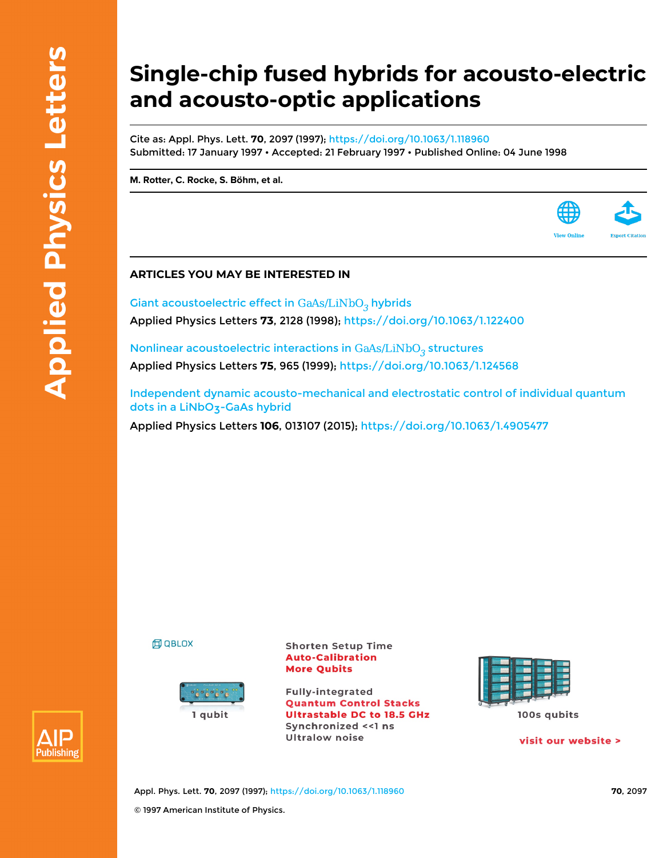## **Single-chip fused hybrids for acousto-electric and acousto-optic applications**

Cite as: Appl. Phys. Lett. **70**, 2097 (1997); <https://doi.org/10.1063/1.118960> Submitted: 17 January 1997 • Accepted: 21 February 1997 • Published Online: 04 June 1998

**[M. Rotter,](https://aip.scitation.org/author/Rotter%2C+M) [C. Rocke](https://aip.scitation.org/author/Rocke%2C+C), [S. Böhm,](https://aip.scitation.org/author/B%C3%B6hm%2C+S) et al.**



Giant acoustoelectric effect in  $GaAs/LiNbO<sub>3</sub>$  hybrids Applied Physics Letters **73**, 2128 (1998); <https://doi.org/10.1063/1.122400>

Nonlinear acoustoelectric interactions in  $GaAs/LiNbO<sub>3</sub>$  structures Applied Physics Letters **75**, 965 (1999); <https://doi.org/10.1063/1.124568>

[Independent dynamic acousto-mechanical and electrostatic control of individual quantum](https://aip.scitation.org/doi/10.1063/1.4905477) dots in a LiNbO<sub>3</sub>-GaAs hybrid

Applied Physics Letters **106**, 013107 (2015);<https://doi.org/10.1063/1.4905477>

**印 QBLOX** 



**Shorten Setup Time Auto-Calibration More Qubits** 

**Fully-integrated Quantum Control Stacks Ultrastable DC to 18.5 GHz** Synchronized << 1 ns **Ultralow noise** 



visit our website >

**View Online** 



Appl. Phys. Lett. **70**, 2097 (1997); <https://doi.org/10.1063/1.118960> **70**, 2097 © 1997 American Institute of Physics.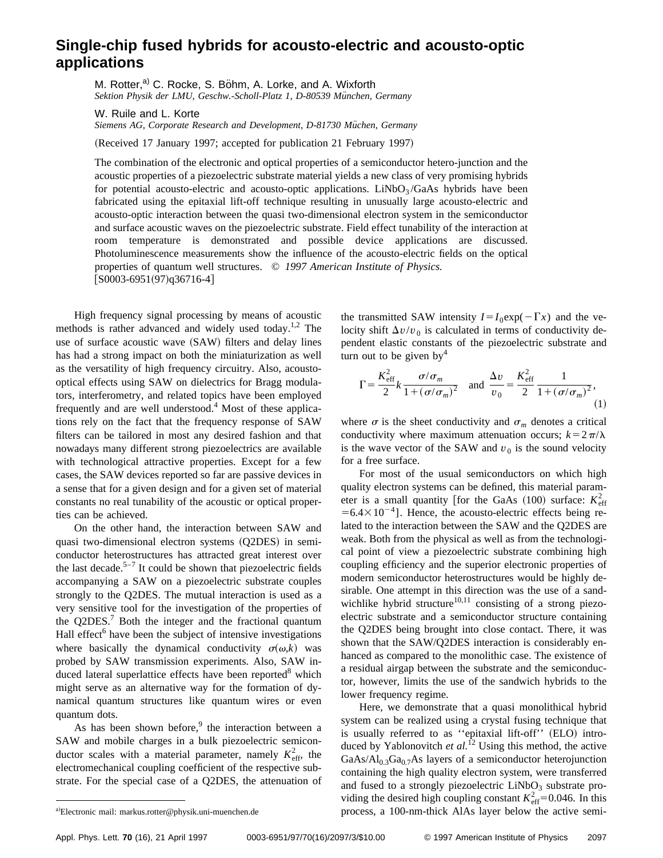## **Single-chip fused hybrids for acousto-electric and acousto-optic applications**

M. Rotter,<sup>a)</sup> C. Rocke, S. Böhm, A. Lorke, and A. Wixforth Sektion Physik der LMU, Geschw.-Scholl-Platz 1, D-80539 München, Germany

W. Ruile and L. Korte

Siemens AG, Corporate Research and Development, D-81730 Müchen, Germany

(Received 17 January 1997; accepted for publication 21 February 1997)

The combination of the electronic and optical properties of a semiconductor hetero-junction and the acoustic properties of a piezoelectric substrate material yields a new class of very promising hybrids for potential acousto-electric and acousto-optic applications. LiNbO<sub>3</sub>/GaAs hybrids have been fabricated using the epitaxial lift-off technique resulting in unusually large acousto-electric and acousto-optic interaction between the quasi two-dimensional electron system in the semiconductor and surface acoustic waves on the piezoelectric substrate. Field effect tunability of the interaction at room temperature is demonstrated and possible device applications are discussed. Photoluminescence measurements show the influence of the acousto-electric fields on the optical properties of quantum well structures. © *1997 American Institute of Physics.*  $[$ S0003-6951(97)q36716-4]

High frequency signal processing by means of acoustic methods is rather advanced and widely used today.<sup>1,2</sup> The use of surface acoustic wave (SAW) filters and delay lines has had a strong impact on both the miniaturization as well as the versatility of high frequency circuitry. Also, acoustooptical effects using SAW on dielectrics for Bragg modulators, interferometry, and related topics have been employed frequently and are well understood.<sup>4</sup> Most of these applications rely on the fact that the frequency response of SAW filters can be tailored in most any desired fashion and that nowadays many different strong piezoelectrics are available with technological attractive properties. Except for a few cases, the SAW devices reported so far are passive devices in a sense that for a given design and for a given set of material constants no real tunability of the acoustic or optical properties can be achieved.

On the other hand, the interaction between SAW and quasi two-dimensional electron systems (Q2DES) in semiconductor heterostructures has attracted great interest over the last decade.<sup>5–7</sup> It could be shown that piezoelectric fields accompanying a SAW on a piezoelectric substrate couples strongly to the Q2DES. The mutual interaction is used as a very sensitive tool for the investigation of the properties of the  $Q2DES$ .<sup>7</sup> Both the integer and the fractional quantum Hall effect<sup> $6$ </sup> have been the subject of intensive investigations where basically the dynamical conductivity  $\sigma(\omega, k)$  was probed by SAW transmission experiments. Also, SAW induced lateral superlattice effects have been reported<sup>8</sup> which might serve as an alternative way for the formation of dynamical quantum structures like quantum wires or even quantum dots.

As has been shown before, $9$  the interaction between a SAW and mobile charges in a bulk piezoelectric semiconductor scales with a material parameter, namely  $K_{\text{eff}}^2$ , the electromechanical coupling coefficient of the respective substrate. For the special case of a Q2DES, the attenuation of the transmitted SAW intensity  $I = I_0 \exp(-\Gamma x)$  and the velocity shift  $\Delta v/v_0$  is calculated in terms of conductivity dependent elastic constants of the piezoelectric substrate and turn out to be given  $by<sup>4</sup>$ 

$$
\Gamma = \frac{K_{\text{eff}}^2}{2} k \frac{\sigma/\sigma_m}{1 + (\sigma/\sigma_m)^2} \quad \text{and} \quad \frac{\Delta v}{v_0} = \frac{K_{\text{eff}}^2}{2} \frac{1}{1 + (\sigma/\sigma_m)^2},\tag{1}
$$

where  $\sigma$  is the sheet conductivity and  $\sigma_m$  denotes a critical conductivity where maximum attenuation occurs;  $k=2\pi/\lambda$ is the wave vector of the SAW and  $v_0$  is the sound velocity for a free surface.

For most of the usual semiconductors on which high quality electron systems can be defined, this material parameter is a small quantity [for the GaAs  $(100)$  surface:  $K_{\text{eff}}^2$  $=6.4\times10^{-4}$ ]. Hence, the acousto-electric effects being related to the interaction between the SAW and the Q2DES are weak. Both from the physical as well as from the technological point of view a piezoelectric substrate combining high coupling efficiency and the superior electronic properties of modern semiconductor heterostructures would be highly desirable. One attempt in this direction was the use of a sandwichlike hybrid structure<sup>10,11</sup> consisting of a strong piezoelectric substrate and a semiconductor structure containing the Q2DES being brought into close contact. There, it was shown that the SAW/Q2DES interaction is considerably enhanced as compared to the monolithic case. The existence of a residual airgap between the substrate and the semiconductor, however, limits the use of the sandwich hybrids to the lower frequency regime.

Here, we demonstrate that a quasi monolithical hybrid system can be realized using a crystal fusing technique that is usually referred to as "epitaxial lift-off" (ELO) introduced by Yablonovitch *et al.*<sup>12</sup> Using this method, the active  $GaAs/Al_{0.3}Ga<sub>0.7</sub>As layers of a semiconductor heterojunction$ containing the high quality electron system, were transferred and fused to a strongly piezoelectric  $LiNbO<sub>3</sub>$  substrate providing the desired high coupling constant  $K_{\text{eff}}^2$  = 0.046. In this process, a 100-nm-thick AlAs layer below the active semi-

Electronic mail: markus.rotter@physik.uni-muenchen.de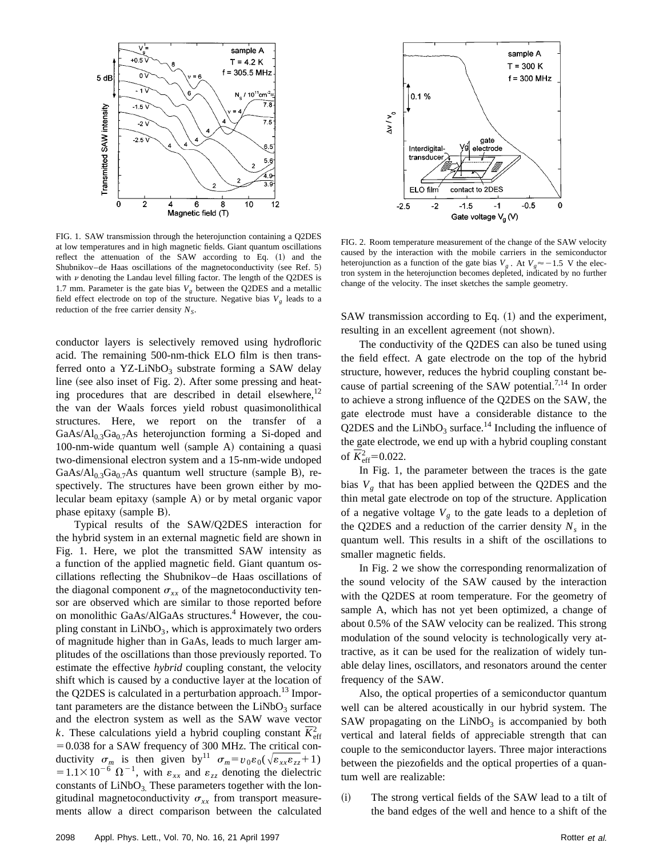

FIG. 1. SAW transmission through the heterojunction containing a Q2DES at low temperatures and in high magnetic fields. Giant quantum oscillations reflect the attenuation of the SAW according to Eq. (1) and the Shubnikov–de Haas oscillations of the magnetoconductivity (see Ref. 5) with  $\nu$  denoting the Landau level filling factor. The length of the Q2DES is 1.7 mm. Parameter is the gate bias  $V_{\rho}$  between the Q2DES and a metallic field effect electrode on top of the structure. Negative bias  $V_g$  leads to a reduction of the free carrier density  $N<sub>S</sub>$ .

conductor layers is selectively removed using hydrofloric acid. The remaining 500-nm-thick ELO film is then transferred onto a YZ-LiNbO<sub>3</sub> substrate forming a SAW delay line (see also inset of Fig. 2). After some pressing and heating procedures that are described in detail elsewhere, $12$ the van der Waals forces yield robust quasimonolithical structures. Here, we report on the transfer of a  $GaAs/Al<sub>0.3</sub>Ga<sub>0.7</sub>As heterojunction forming a Si-doped and$ 100-nm-wide quantum well (sample A) containing a quasi two-dimensional electron system and a 15-nm-wide undoped GaAs/Al<sub>0.3</sub>Ga<sub>0.7</sub>As quantum well structure (sample B), respectively. The structures have been grown either by molecular beam epitaxy  $(sample A)$  or by metal organic vapor phase epitaxy  $(sample B)$ .

Typical results of the SAW/Q2DES interaction for the hybrid system in an external magnetic field are shown in Fig. 1. Here, we plot the transmitted SAW intensity as a function of the applied magnetic field. Giant quantum oscillations reflecting the Shubnikov–de Haas oscillations of the diagonal component  $\sigma_{xx}$  of the magnetoconductivity tensor are observed which are similar to those reported before on monolithic GaAs/AlGaAs structures.<sup>4</sup> However, the coupling constant in  $LiNbO<sub>3</sub>$ , which is approximately two orders of magnitude higher than in GaAs, leads to much larger amplitudes of the oscillations than those previously reported. To estimate the effective *hybrid* coupling constant, the velocity shift which is caused by a conductive layer at the location of the Q2DES is calculated in a perturbation approach.<sup>13</sup> Important parameters are the distance between the  $LiNbO<sub>3</sub>$  surface and the electron system as well as the SAW wave vector k. These calculations yield a hybrid coupling constant  $\overline{K}_{\text{eff}}^2$  $=0.038$  for a SAW frequency of 300 MHz. The critical conductivity  $\sigma_m$  is then given by<sup>11</sup>  $\sigma_m = v_0 \varepsilon_0 (\sqrt{\varepsilon_{xx} \varepsilon_{zz}} + 1)$  $=1.1\times10^{-6} \Omega^{-1}$ , with  $\varepsilon_{xx}$  and  $\varepsilon_{zz}$  denoting the dielectric constants of  $LiNbO<sub>3</sub>$ . These parameters together with the longitudinal magnetoconductivity  $\sigma_{xx}$  from transport measurements allow a direct comparison between the calculated



FIG. 2. Room temperature measurement of the change of the SAW velocity caused by the interaction with the mobile carriers in the semiconductor heterojunction as a function of the gate bias  $V_g$ . At  $V_g \approx -1.5$  V the electron system in the heterojunction becomes depleted, indicated by no further change of the velocity. The inset sketches the sample geometry.

SAW transmission according to Eq.  $(1)$  and the experiment, resulting in an excellent agreement (not shown).

The conductivity of the Q2DES can also be tuned using the field effect. A gate electrode on the top of the hybrid structure, however, reduces the hybrid coupling constant because of partial screening of the SAW potential.<sup>7,14</sup> In order to achieve a strong influence of the Q2DES on the SAW, the gate electrode must have a considerable distance to the Q2DES and the LiNbO<sub>3</sub> surface.<sup>14</sup> Including the influence of the gate electrode, we end up with a hybrid coupling constant of  $\overline{K}_{\text{eff}}^2$  = 0.022.

In Fig. 1, the parameter between the traces is the gate bias  $V_g$  that has been applied between the Q2DES and the thin metal gate electrode on top of the structure. Application of a negative voltage  $V_g$  to the gate leads to a depletion of the Q2DES and a reduction of the carrier density  $N_s$  in the quantum well. This results in a shift of the oscillations to smaller magnetic fields.

In Fig. 2 we show the corresponding renormalization of the sound velocity of the SAW caused by the interaction with the Q2DES at room temperature. For the geometry of sample A, which has not yet been optimized, a change of about 0.5% of the SAW velocity can be realized. This strong modulation of the sound velocity is technologically very attractive, as it can be used for the realization of widely tunable delay lines, oscillators, and resonators around the center frequency of the SAW.

Also, the optical properties of a semiconductor quantum well can be altered acoustically in our hybrid system. The SAW propagating on the  $LiNbO<sub>3</sub>$  is accompanied by both vertical and lateral fields of appreciable strength that can couple to the semiconductor layers. Three major interactions between the piezofields and the optical properties of a quantum well are realizable:

~i! The strong vertical fields of the SAW lead to a tilt of the band edges of the well and hence to a shift of the